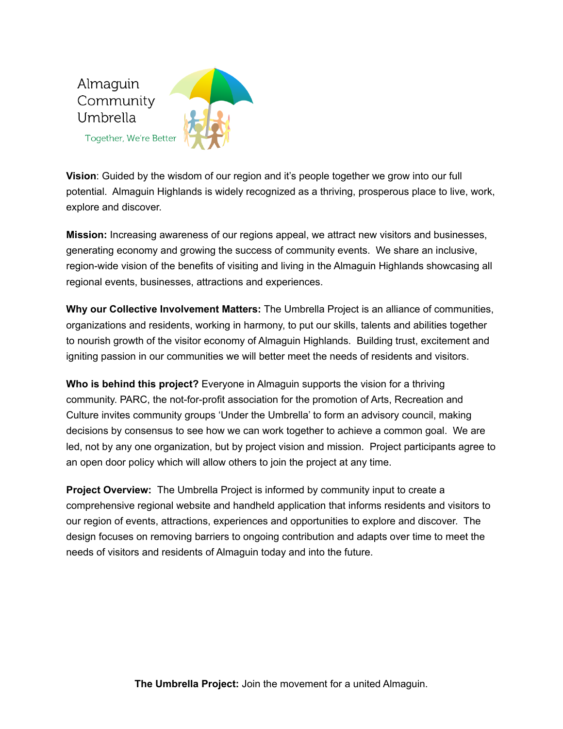

**Vision**: Guided by the wisdom of our region and it's people together we grow into our full potential. Almaguin Highlands is widely recognized as a thriving, prosperous place to live, work, explore and discover.

**Mission:** Increasing awareness of our regions appeal, we attract new visitors and businesses, generating economy and growing the success of community events. We share an inclusive, region-wide vision of the benefits of visiting and living in the Almaguin Highlands showcasing all regional events, businesses, attractions and experiences.

**Why our Collective Involvement Matters:** The Umbrella Project is an alliance of communities, organizations and residents, working in harmony, to put our skills, talents and abilities together to nourish growth of the visitor economy of Almaguin Highlands. Building trust, excitement and igniting passion in our communities we will better meet the needs of residents and visitors.

**Who is behind this project?** Everyone in Almaguin supports the vision for a thriving community. PARC, the not-for-profit association for the promotion of Arts, Recreation and Culture invites community groups 'Under the Umbrella' to form an advisory council, making decisions by consensus to see how we can work together to achieve a common goal. We are led, not by any one organization, but by project vision and mission. Project participants agree to an open door policy which will allow others to join the project at any time.

**Project Overview:** The Umbrella Project is informed by community input to create a comprehensive regional website and handheld application that informs residents and visitors to our region of events, attractions, experiences and opportunities to explore and discover. The design focuses on removing barriers to ongoing contribution and adapts over time to meet the needs of visitors and residents of Almaguin today and into the future.